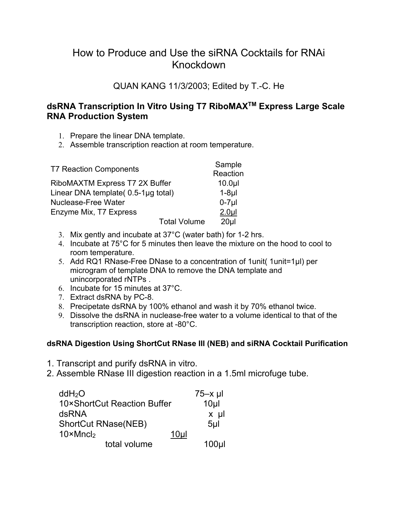# How to Produce and Use the siRNA Cocktails for RNAi Knockdown

### QUAN KANG 11/3/2003; Edited by T.-C. He

### **dsRNA Transcription In Vitro Using T7 RiboMAXTM Express Large Scale RNA Production System**

- 1. Prepare the linear DNA template.
- 2. Assemble transcription reaction at room temperature.

| <b>T7 Reaction Components</b>       |                     | Sample            |
|-------------------------------------|---------------------|-------------------|
|                                     |                     | Reaction          |
| RiboMAXTM Express T7 2X Buffer      |                     | 10.0 <sub>µ</sub> |
| Linear DNA template( 0.5-1µg total) |                     | $1-8\mu$          |
| <b>Nuclease-Free Water</b>          |                     | $0-7$ µl          |
| Enzyme Mix, T7 Express              |                     | 2.0 <sub>µ</sub>  |
|                                     | <b>Total Volume</b> | 20 <sub>µ</sub>   |

- 3. Mix gently and incubate at 37°C (water bath) for 1-2 hrs.
- 4. Incubate at 75°C for 5 minutes then leave the mixture on the hood to cool to room temperature.
- 5. Add RQ1 RNase-Free DNase to a concentration of 1 unit (1 unit = 1 µl) per microgram of template DNA to remove the DNA template and unincorporated rNTPs .
- 6. Incubate for 15 minutes at 37°C.
- 7. Extract dsRNA by PC-8.
- 8. Precipetate dsRNA by 100% ethanol and wash it by 70% ethanol twice.
- 9. Dissolve the dsRNA in nuclease-free water to a volume identical to that of the transcription reaction, store at -80°C.

#### **dsRNA Digestion Using ShortCut RNase III (NEB) and siRNA Cocktail Purification**

- 1. Transcript and purify dsRNA in vitro.
- 2. Assemble RNase III digestion reaction in a 1.5ml microfuge tube.

| ddH <sub>2</sub> O                    | $75-x$ µl        |
|---------------------------------------|------------------|
| 10×ShortCut Reaction Buffer           | 10 <sub>µ</sub>  |
| dsRNA                                 | $x \mu$          |
| <b>ShortCut RNase(NEB)</b>            | 5 <sub>µ</sub>   |
| $10 \times Mncl_2$<br>10 <sub>µ</sub> |                  |
| total volume                          | 100 <sub>µ</sub> |